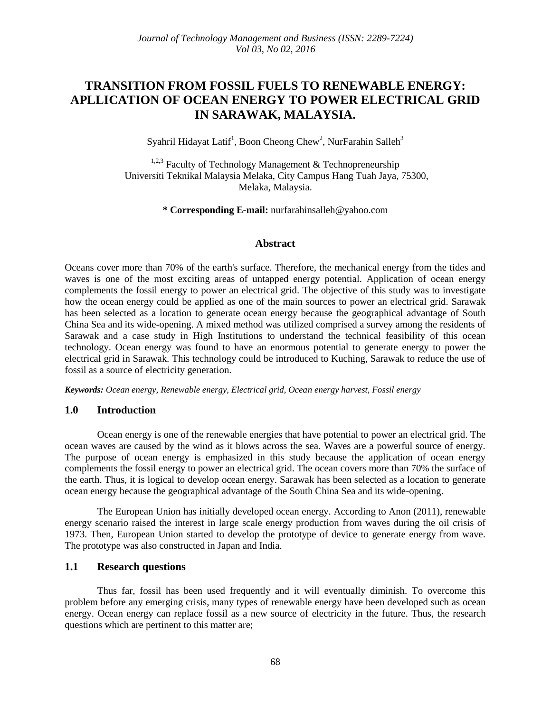# **TRANSITION FROM FOSSIL FUELS TO RENEWABLE ENERGY: APLLICATION OF OCEAN ENERGY TO POWER ELECTRICAL GRID IN SARAWAK, MALAYSIA.**

Syahril Hidayat Latif<sup>1</sup>, Boon Cheong Chew<sup>2</sup>, NurFarahin Salleh<sup>3</sup>

<sup>1,2,3</sup> Faculty of Technology Management  $\&$  Technopreneurship Universiti Teknikal Malaysia Melaka, City Campus Hang Tuah Jaya, 75300, Melaka, Malaysia.

**\* Corresponding E-mail:** nurfarahinsalleh@yahoo.com

## **Abstract**

Oceans cover more than 70% of the earth's surface. Therefore, the mechanical energy from the tides and waves is one of the most exciting areas of untapped energy potential. Application of ocean energy complements the fossil energy to power an electrical grid. The objective of this study was to investigate how the ocean energy could be applied as one of the main sources to power an electrical grid. Sarawak has been selected as a location to generate ocean energy because the geographical advantage of South China Sea and its wide-opening. A mixed method was utilized comprised a survey among the residents of Sarawak and a case study in High Institutions to understand the technical feasibility of this ocean technology. Ocean energy was found to have an enormous potential to generate energy to power the electrical grid in Sarawak. This technology could be introduced to Kuching, Sarawak to reduce the use of fossil as a source of electricity generation.

*Keywords: Ocean energy, Renewable energy, Electrical grid, Ocean energy harvest, Fossil energy*

## **1.0 Introduction**

Ocean energy is one of the renewable energies that have potential to power an electrical grid. The ocean waves are caused by the wind as it blows across the sea. Waves are a powerful source of energy. The purpose of ocean energy is emphasized in this study because the application of ocean energy complements the fossil energy to power an electrical grid. The ocean covers more than 70% the surface of the earth. Thus, it is logical to develop ocean energy. Sarawak has been selected as a location to generate ocean energy because the geographical advantage of the South China Sea and its wide-opening.

The European Union has initially developed ocean energy. According to Anon (2011), renewable energy scenario raised the interest in large scale energy production from waves during the oil crisis of 1973. Then, European Union started to develop the prototype of device to generate energy from wave. The prototype was also constructed in Japan and India.

## **1.1 Research questions**

Thus far, fossil has been used frequently and it will eventually diminish. To overcome this problem before any emerging crisis, many types of renewable energy have been developed such as ocean energy. Ocean energy can replace fossil as a new source of electricity in the future. Thus, the research questions which are pertinent to this matter are;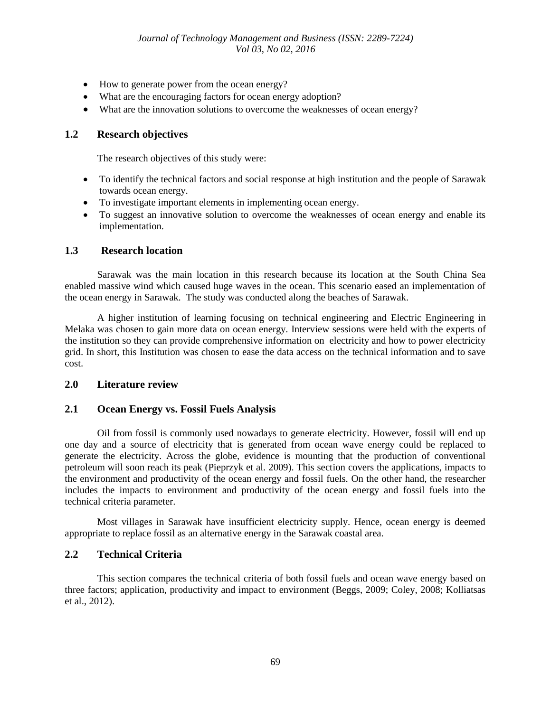- How to generate power from the ocean energy?
- What are the encouraging factors for ocean energy adoption?
- What are the innovation solutions to overcome the weaknesses of ocean energy?

#### **1.2 Research objectives**

The research objectives of this study were:

- To identify the technical factors and social response at high institution and the people of Sarawak towards ocean energy.
- To investigate important elements in implementing ocean energy.
- To suggest an innovative solution to overcome the weaknesses of ocean energy and enable its implementation.

#### **1.3 Research location**

Sarawak was the main location in this research because its location at the South China Sea enabled massive wind which caused huge waves in the ocean. This scenario eased an implementation of the ocean energy in Sarawak. The study was conducted along the beaches of Sarawak.

A higher institution of learning focusing on technical engineering and Electric Engineering in Melaka was chosen to gain more data on ocean energy. Interview sessions were held with the experts of the institution so they can provide comprehensive information on electricity and how to power electricity grid. In short, this Institution was chosen to ease the data access on the technical information and to save cost.

#### **2.0 Literature review**

## **2.1 Ocean Energy vs. Fossil Fuels Analysis**

Oil from fossil is commonly used nowadays to generate electricity. However, fossil will end up one day and a source of electricity that is generated from ocean wave energy could be replaced to generate the electricity. Across the globe, evidence is mounting that the production of conventional petroleum will soon reach its peak (Pieprzyk et al. 2009). This section covers the applications, impacts to the environment and productivity of the ocean energy and fossil fuels. On the other hand, the researcher includes the impacts to environment and productivity of the ocean energy and fossil fuels into the technical criteria parameter.

Most villages in Sarawak have insufficient electricity supply. Hence, ocean energy is deemed appropriate to replace fossil as an alternative energy in the Sarawak coastal area.

## **2.2 Technical Criteria**

This section compares the technical criteria of both fossil fuels and ocean wave energy based on three factors; application, productivity and impact to environment (Beggs, 2009; Coley, 2008; Kolliatsas et al., 2012).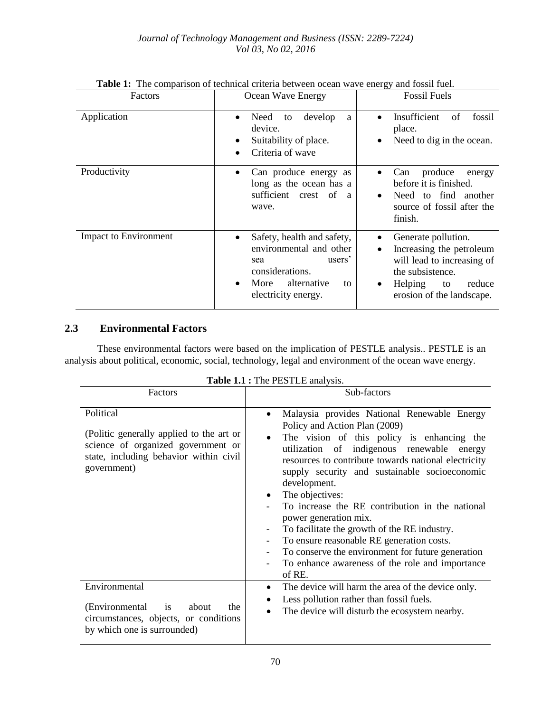| Factors                      | Ocean Wave Energy                                                                                                                                                                   | <b>Fossil Fuels</b>                                                                                                                                                                 |  |  |
|------------------------------|-------------------------------------------------------------------------------------------------------------------------------------------------------------------------------------|-------------------------------------------------------------------------------------------------------------------------------------------------------------------------------------|--|--|
| Application                  | Need<br>develop<br>to<br>a<br>$\bullet$<br>device.<br>Suitability of place.<br>٠<br>Criteria of wave<br>$\bullet$                                                                   | Insufficient<br>fossil<br>of<br>$\bullet$<br>place.<br>Need to dig in the ocean.                                                                                                    |  |  |
| Productivity                 | Can produce energy as<br>$\bullet$<br>long as the ocean has a<br>sufficient crest<br>of<br>a<br>wave.                                                                               | produce<br>Can<br>energy<br>before it is finished.<br>Need to find<br>another<br>$\bullet$<br>source of fossil after the<br>finish.                                                 |  |  |
| <b>Impact to Environment</b> | Safety, health and safety,<br>$\bullet$<br>environmental and other<br>users <sup>2</sup><br>sea<br>considerations.<br>More<br>alternative<br>to<br>$\bullet$<br>electricity energy. | Generate pollution.<br>$\bullet$<br>Increasing the petroleum<br>will lead to increasing of<br>the subsistence.<br>Helping<br>reduce<br>to<br>$\bullet$<br>erosion of the landscape. |  |  |

**Table 1:** The comparison of technical criteria between ocean wave energy and fossil fuel.

# **2.3 Environmental Factors**

These environmental factors were based on the implication of PESTLE analysis.. PESTLE is an analysis about political, economic, social, technology, legal and environment of the ocean wave energy.

|                                                                                                                                                      | <b>rabit 1.1</b> $\cdot$ 1.1 $\circ$ 1 $\pm$ 5.1 $\pm$ 1.2 $\pm$ 1.1 $\pm$ 1.1 $\pm$ 1.1 $\pm$ 1.1 $\pm$ 1.1 $\pm$ 1.1 $\pm$ 1.1 $\pm$ 1.1 $\pm$ 1.1 $\pm$ 1.1 $\pm$ 1.1 $\pm$ 1.1 $\pm$ 1.1 $\pm$ 1.1 $\pm$ 1.1 $\pm$ 1.1 $\pm$ 1.1 $\pm$ 1.1 $\pm$ 1.1 $\pm$                                                                                                                                                                                                                                                                                                                                                                                                   |
|------------------------------------------------------------------------------------------------------------------------------------------------------|------------------------------------------------------------------------------------------------------------------------------------------------------------------------------------------------------------------------------------------------------------------------------------------------------------------------------------------------------------------------------------------------------------------------------------------------------------------------------------------------------------------------------------------------------------------------------------------------------------------------------------------------------------------|
| Factors                                                                                                                                              | Sub-factors                                                                                                                                                                                                                                                                                                                                                                                                                                                                                                                                                                                                                                                      |
| Political<br>(Politic generally applied to the art or<br>science of organized government or<br>state, including behavior within civil<br>government) | Malaysia provides National Renewable Energy<br>٠<br>Policy and Action Plan (2009)<br>The vision of this policy is enhancing the<br>$\bullet$<br>utilization of indigenous renewable<br>energy<br>resources to contribute towards national electricity<br>supply security and sustainable socioeconomic<br>development.<br>The objectives:<br>$\bullet$<br>To increase the RE contribution in the national<br>power generation mix.<br>To facilitate the growth of the RE industry.<br>-<br>To ensure reasonable RE generation costs.<br>To conserve the environment for future generation<br>-<br>To enhance awareness of the role and importance<br>-<br>of RE. |
| Environmental<br>(Environmental<br><i>is</i><br>about<br>the<br>circumstances, objects, or conditions<br>by which one is surrounded)                 | The device will harm the area of the device only.<br>Less pollution rather than fossil fuels.<br>The device will disturb the ecosystem nearby.                                                                                                                                                                                                                                                                                                                                                                                                                                                                                                                   |

**Table 1.1 :** The PESTLE analysis.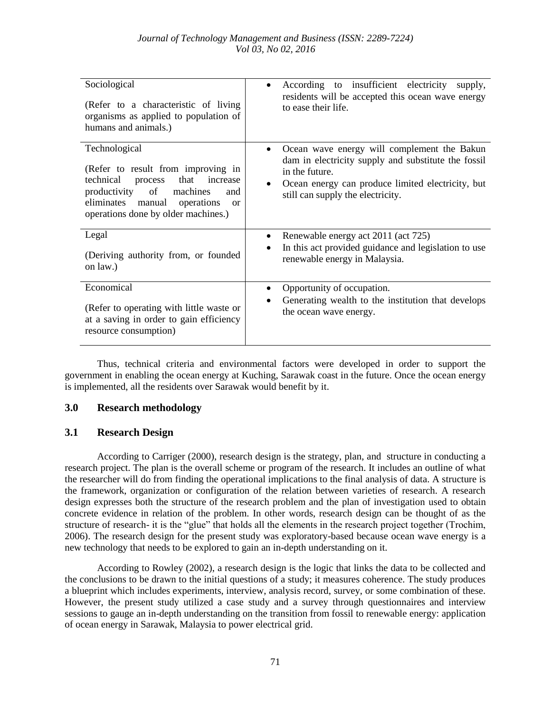| Sociological<br>(Refer to a characteristic of living<br>organisms as applied to population of<br>humans and animals.)                                                                                                            | According to insufficient electricity<br>supply,<br>$\bullet$<br>residents will be accepted this ocean wave energy<br>to ease their life.                                                                      |
|----------------------------------------------------------------------------------------------------------------------------------------------------------------------------------------------------------------------------------|----------------------------------------------------------------------------------------------------------------------------------------------------------------------------------------------------------------|
| Technological<br>(Refer to result from improving in<br>technical<br>that<br>increase<br>process<br>productivity of<br>machines<br>and<br>eliminates manual<br>operations<br><sub>or</sub><br>operations done by older machines.) | Ocean wave energy will complement the Bakun<br>dam in electricity supply and substitute the fossil<br>in the future.<br>Ocean energy can produce limited electricity, but<br>still can supply the electricity. |
| Legal<br>(Deriving authority from, or founded<br>on law.)                                                                                                                                                                        | Renewable energy act 2011 (act 725)<br>$\bullet$<br>In this act provided guidance and legislation to use<br>$\bullet$<br>renewable energy in Malaysia.                                                         |
| Economical<br>(Refer to operating with little waste or<br>at a saving in order to gain efficiency<br>resource consumption)                                                                                                       | Opportunity of occupation.<br>Generating wealth to the institution that develops<br>the ocean wave energy.                                                                                                     |

Thus, technical criteria and environmental factors were developed in order to support the government in enabling the ocean energy at Kuching, Sarawak coast in the future. Once the ocean energy is implemented, all the residents over Sarawak would benefit by it.

## **3.0 Research methodology**

## **3.1 Research Design**

According to Carriger (2000), research design is the strategy, plan, and structure in conducting a research project. The plan is the overall scheme or program of the research. It includes an outline of what the researcher will do from finding the operational implications to the final analysis of data. A structure is the framework, organization or configuration of the relation between varieties of research. A research design expresses both the structure of the research problem and the plan of investigation used to obtain concrete evidence in relation of the problem. In other words, research design can be thought of as the structure of research- it is the "glue" that holds all the elements in the research project together (Trochim, 2006). The research design for the present study was exploratory-based because ocean wave energy is a new technology that needs to be explored to gain an in-depth understanding on it.

According to Rowley (2002), a research design is the logic that links the data to be collected and the conclusions to be drawn to the initial questions of a study; it measures coherence. The study produces a blueprint which includes experiments, interview, analysis record, survey, or some combination of these. However, the present study utilized a case study and a survey through questionnaires and interview sessions to gauge an in-depth understanding on the transition from fossil to renewable energy: application of ocean energy in Sarawak, Malaysia to power electrical grid.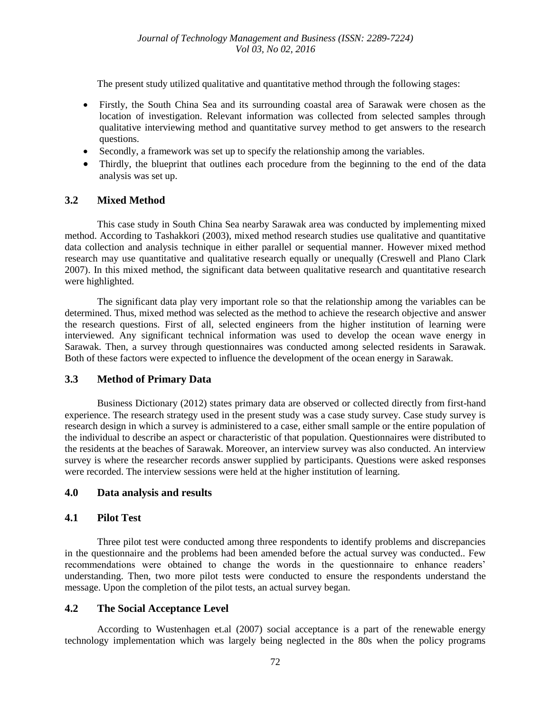The present study utilized qualitative and quantitative method through the following stages:

- Firstly, the South China Sea and its surrounding coastal area of Sarawak were chosen as the location of investigation. Relevant information was collected from selected samples through qualitative interviewing method and quantitative survey method to get answers to the research questions.
- Secondly, a framework was set up to specify the relationship among the variables.
- Thirdly, the blueprint that outlines each procedure from the beginning to the end of the data analysis was set up.

## **3.2 Mixed Method**

This case study in South China Sea nearby Sarawak area was conducted by implementing mixed method. According to Tashakkori (2003), mixed method research studies use qualitative and quantitative data collection and analysis technique in either parallel or sequential manner. However mixed method research may use quantitative and qualitative research equally or unequally (Creswell and Plano Clark 2007). In this mixed method, the significant data between qualitative research and quantitative research were highlighted.

The significant data play very important role so that the relationship among the variables can be determined. Thus, mixed method was selected as the method to achieve the research objective and answer the research questions. First of all, selected engineers from the higher institution of learning were interviewed. Any significant technical information was used to develop the ocean wave energy in Sarawak. Then, a survey through questionnaires was conducted among selected residents in Sarawak. Both of these factors were expected to influence the development of the ocean energy in Sarawak.

## **3.3 Method of Primary Data**

Business Dictionary (2012) states primary data are observed or collected directly from first-hand experience. The research strategy used in the present study was a case study survey. Case study survey is research design in which a survey is administered to a case, either small sample or the entire population of the individual to describe an aspect or characteristic of that population. Questionnaires were distributed to the residents at the beaches of Sarawak. Moreover, an interview survey was also conducted. An interview survey is where the researcher records answer supplied by participants. Questions were asked responses were recorded. The interview sessions were held at the higher institution of learning.

## **4.0 Data analysis and results**

## **4.1 Pilot Test**

Three pilot test were conducted among three respondents to identify problems and discrepancies in the questionnaire and the problems had been amended before the actual survey was conducted.. Few recommendations were obtained to change the words in the questionnaire to enhance readers' understanding. Then, two more pilot tests were conducted to ensure the respondents understand the message. Upon the completion of the pilot tests, an actual survey began.

## **4.2 The Social Acceptance Level**

According to Wustenhagen et.al (2007) social acceptance is a part of the renewable energy technology implementation which was largely being neglected in the 80s when the policy programs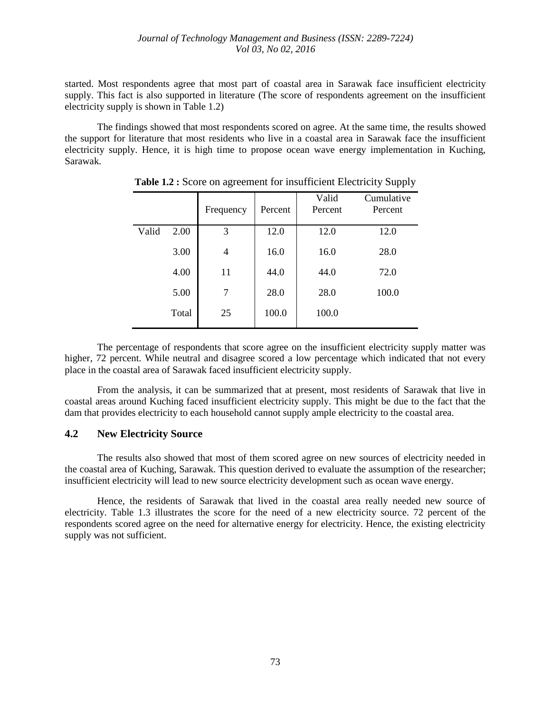started. Most respondents agree that most part of coastal area in Sarawak face insufficient electricity supply. This fact is also supported in literature (The score of respondents agreement on the insufficient electricity supply is shown in Table 1.2)

The findings showed that most respondents scored on agree. At the same time, the results showed the support for literature that most residents who live in a coastal area in Sarawak face the insufficient electricity supply. Hence, it is high time to propose ocean wave energy implementation in Kuching, Sarawak.

|       |       | Frequency      | Percent | Valid<br>Percent | Cumulative<br>Percent |
|-------|-------|----------------|---------|------------------|-----------------------|
| Valid | 2.00  | 3              | 12.0    | 12.0             | 12.0                  |
|       | 3.00  | $\overline{4}$ | 16.0    | 16.0             | 28.0                  |
|       | 4.00  | 11             | 44.0    | 44.0             | 72.0                  |
|       | 5.00  | 7              | 28.0    | 28.0             | 100.0                 |
|       | Total | 25             | 100.0   | 100.0            |                       |

**Table 1.2 :** Score on agreement for insufficient Electricity Supply

The percentage of respondents that score agree on the insufficient electricity supply matter was higher, 72 percent. While neutral and disagree scored a low percentage which indicated that not every place in the coastal area of Sarawak faced insufficient electricity supply.

From the analysis, it can be summarized that at present, most residents of Sarawak that live in coastal areas around Kuching faced insufficient electricity supply. This might be due to the fact that the dam that provides electricity to each household cannot supply ample electricity to the coastal area.

#### **4.2 New Electricity Source**

The results also showed that most of them scored agree on new sources of electricity needed in the coastal area of Kuching, Sarawak. This question derived to evaluate the assumption of the researcher; insufficient electricity will lead to new source electricity development such as ocean wave energy.

Hence, the residents of Sarawak that lived in the coastal area really needed new source of electricity. Table 1.3 illustrates the score for the need of a new electricity source. 72 percent of the respondents scored agree on the need for alternative energy for electricity. Hence, the existing electricity supply was not sufficient.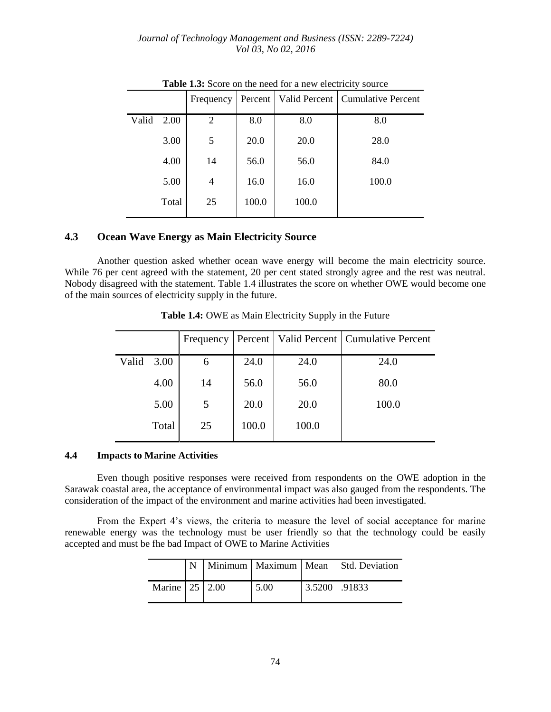*Journal of Technology Management and Business (ISSN: 2289-7224) Vol 03, No 02, 2016*

|       |       | Frequency      | Percent     |       | Valid Percent   Cumulative Percent |  |  |
|-------|-------|----------------|-------------|-------|------------------------------------|--|--|
| Valid | 2.00  | 2              | 8.0         | 8.0   | 8.0                                |  |  |
|       | 3.00  | 5              | <b>20.0</b> | 20.0  | 28.0                               |  |  |
|       | 4.00  | 14             | 56.0        | 56.0  | 84.0                               |  |  |
|       | 5.00  | $\overline{4}$ | 16.0        | 16.0  | 100.0                              |  |  |
|       | Total | 25             | 100.0       | 100.0 |                                    |  |  |

Table 1.3: Score on the need for a new electricity source

## **4.3 Ocean Wave Energy as Main Electricity Source**

Another question asked whether ocean wave energy will become the main electricity source. While 76 per cent agreed with the statement, 20 per cent stated strongly agree and the rest was neutral. Nobody disagreed with the statement. Table 1.4 illustrates the score on whether OWE would become one of the main sources of electricity supply in the future.

|       |       | Frequency |       |       | Percent   Valid Percent   Cumulative Percent |
|-------|-------|-----------|-------|-------|----------------------------------------------|
| Valid | 3.00  | 6         | 24.0  | 24.0  | 24.0                                         |
|       | 4.00  | 14        | 56.0  | 56.0  | 80.0                                         |
|       | 5.00  | 5         | 20.0  | 20.0  | 100.0                                        |
|       | Total | 25        | 100.0 | 100.0 |                                              |
|       |       |           |       |       |                                              |

**Table 1.4:** OWE as Main Electricity Supply in the Future

#### **4.4 Impacts to Marine Activities**

Even though positive responses were received from respondents on the OWE adoption in the Sarawak coastal area, the acceptance of environmental impact was also gauged from the respondents. The consideration of the impact of the environment and marine activities had been investigated.

From the Expert 4's views, the criteria to measure the level of social acceptance for marine renewable energy was the technology must be user friendly so that the technology could be easily accepted and must be fhe bad Impact of OWE to Marine Activities

|                |  |      |                 | Minimum   Maximum   Mean   Std. Deviation |
|----------------|--|------|-----------------|-------------------------------------------|
| Marine 25 2.00 |  | 5.00 | $3.5200$ .91833 |                                           |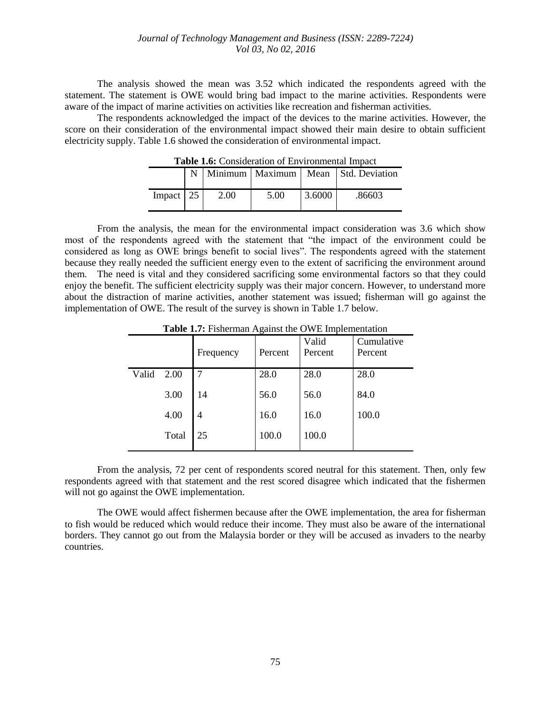#### *Journal of Technology Management and Business (ISSN: 2289-7224) Vol 03, No 02, 2016*

The analysis showed the mean was 3.52 which indicated the respondents agreed with the statement. The statement is OWE would bring bad impact to the marine activities. Respondents were aware of the impact of marine activities on activities like recreation and fisherman activities.

The respondents acknowledged the impact of the devices to the marine activities. However, the score on their consideration of the environmental impact showed their main desire to obtain sufficient electricity supply. Table 1.6 showed the consideration of environmental impact.

| <b>rable 1.0.</b> Consideration of Environmental Impact |  |      |      |        |                                           |  |
|---------------------------------------------------------|--|------|------|--------|-------------------------------------------|--|
|                                                         |  |      |      |        | Minimum   Maximum   Mean   Std. Deviation |  |
| Impact $\vert$ 25                                       |  | 2.00 | 5.00 | 3.6000 | .86603                                    |  |

**Table 1.6:** Consideration of Environmental Impact

From the analysis, the mean for the environmental impact consideration was 3.6 which show most of the respondents agreed with the statement that "the impact of the environment could be considered as long as OWE brings benefit to social lives". The respondents agreed with the statement because they really needed the sufficient energy even to the extent of sacrificing the environment around them. The need is vital and they considered sacrificing some environmental factors so that they could enjoy the benefit. The sufficient electricity supply was their major concern. However, to understand more about the distraction of marine activities, another statement was issued; fisherman will go against the implementation of OWE. The result of the survey is shown in Table 1.7 below.

|       |       | Frequency | -0-<br>Percent | Valid<br>Percent | Cumulative<br>Percent |
|-------|-------|-----------|----------------|------------------|-----------------------|
| Valid | 2.00  | 7         | 28.0           | 28.0             | 28.0                  |
|       | 3.00  | 14        | 56.0           | 56.0             | 84.0                  |
|       | 4.00  | 4         | 16.0           | 16.0             | 100.0                 |
|       | Total | 25        | 100.0          | 100.0            |                       |

**Table 1.7:** Fisherman Against the OWE Implementation

From the analysis, 72 per cent of respondents scored neutral for this statement. Then, only few respondents agreed with that statement and the rest scored disagree which indicated that the fishermen will not go against the OWE implementation.

The OWE would affect fishermen because after the OWE implementation, the area for fisherman to fish would be reduced which would reduce their income. They must also be aware of the international borders. They cannot go out from the Malaysia border or they will be accused as invaders to the nearby countries.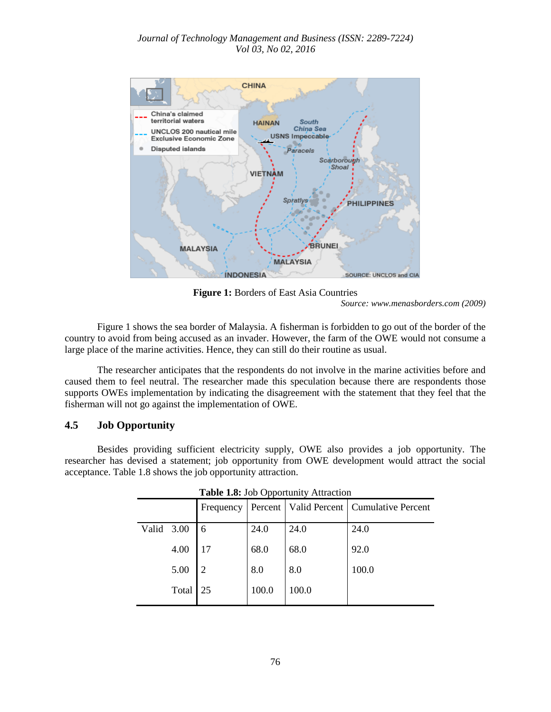#### *Journal of Technology Management and Business (ISSN: 2289-7224) Vol 03, No 02, 2016*



**Figure 1:** Borders of East Asia Countries

*Source: www.menasborders.com (2009)*

Figure 1 shows the sea border of Malaysia. A fisherman is forbidden to go out of the border of the country to avoid from being accused as an invader. However, the farm of the OWE would not consume a large place of the marine activities. Hence, they can still do their routine as usual.

The researcher anticipates that the respondents do not involve in the marine activities before and caused them to feel neutral. The researcher made this speculation because there are respondents those supports OWEs implementation by indicating the disagreement with the statement that they feel that the fisherman will not go against the implementation of OWE.

## **4.5 Job Opportunity**

Besides providing sufficient electricity supply, OWE also provides a job opportunity. The researcher has devised a statement; job opportunity from OWE development would attract the social acceptance. Table 1.8 shows the job opportunity attraction.

|            |       | Frequency     |       |       | Percent   Valid Percent   Cumulative Percent |
|------------|-------|---------------|-------|-------|----------------------------------------------|
| Valid 3.00 |       | 6             | 24.0  | 24.0  | 24.0                                         |
|            | 4.00  |               | 68.0  | 68.0  | 92.0                                         |
|            | 5.00  | $\mathcal{D}$ | 8.0   | 8.0   | 100.0                                        |
|            | Total | 25            | 100.0 | 100.0 |                                              |

**Table 1.8:** Job Opportunity Attraction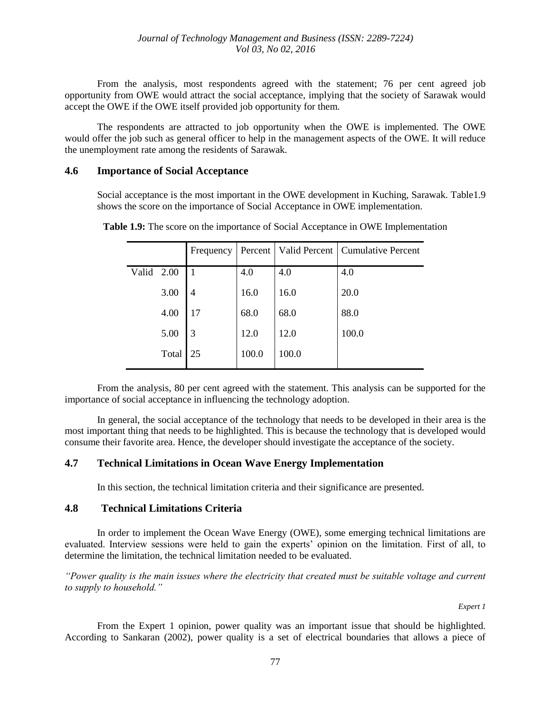From the analysis, most respondents agreed with the statement; 76 per cent agreed job opportunity from OWE would attract the social acceptance, implying that the society of Sarawak would accept the OWE if the OWE itself provided job opportunity for them.

The respondents are attracted to job opportunity when the OWE is implemented. The OWE would offer the job such as general officer to help in the management aspects of the OWE. It will reduce the unemployment rate among the residents of Sarawak.

#### **4.6 Importance of Social Acceptance**

Social acceptance is the most important in the OWE development in Kuching, Sarawak. Table1.9 shows the score on the importance of Social Acceptance in OWE implementation.

|       |       | Frequency      | Percent |       | Valid Percent   Cumulative Percent |
|-------|-------|----------------|---------|-------|------------------------------------|
| Valid | 2.00  | $\overline{1}$ | 4.0     | 4.0   | 4.0                                |
|       | 3.00  | 4              | 16.0    | 16.0  | 20.0                               |
|       | 4.00  | 17             | 68.0    | 68.0  | 88.0                               |
|       | 5.00  | 3              | 12.0    | 12.0  | 100.0                              |
|       | Total | 25             | 100.0   | 100.0 |                                    |

**Table 1.9:** The score on the importance of Social Acceptance in OWE Implementation

From the analysis, 80 per cent agreed with the statement. This analysis can be supported for the importance of social acceptance in influencing the technology adoption.

In general, the social acceptance of the technology that needs to be developed in their area is the most important thing that needs to be highlighted. This is because the technology that is developed would consume their favorite area. Hence, the developer should investigate the acceptance of the society.

## **4.7 Technical Limitations in Ocean Wave Energy Implementation**

In this section, the technical limitation criteria and their significance are presented.

## **4.8 Technical Limitations Criteria**

In order to implement the Ocean Wave Energy (OWE), some emerging technical limitations are evaluated. Interview sessions were held to gain the experts' opinion on the limitation. First of all, to determine the limitation, the technical limitation needed to be evaluated.

*"Power quality is the main issues where the electricity that created must be suitable voltage and current to supply to household."*

 *Expert 1*

From the Expert 1 opinion, power quality was an important issue that should be highlighted. According to Sankaran (2002), power quality is a set of electrical boundaries that allows a piece of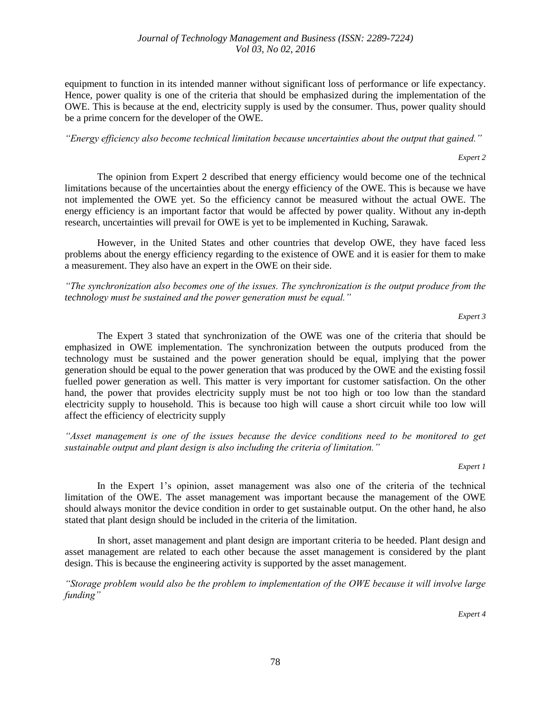equipment to function in its intended manner without significant loss of performance or life expectancy. Hence, power quality is one of the criteria that should be emphasized during the implementation of the OWE. This is because at the end, electricity supply is used by the consumer. Thus, power quality should be a prime concern for the developer of the OWE.

*"Energy efficiency also become technical limitation because uncertainties about the output that gained."*

*Expert 2*

The opinion from Expert 2 described that energy efficiency would become one of the technical limitations because of the uncertainties about the energy efficiency of the OWE. This is because we have not implemented the OWE yet. So the efficiency cannot be measured without the actual OWE. The energy efficiency is an important factor that would be affected by power quality. Without any in-depth research, uncertainties will prevail for OWE is yet to be implemented in Kuching, Sarawak.

However, in the United States and other countries that develop OWE, they have faced less problems about the energy efficiency regarding to the existence of OWE and it is easier for them to make a measurement. They also have an expert in the OWE on their side.

*"The synchronization also becomes one of the issues. The synchronization is the output produce from the technology must be sustained and the power generation must be equal."*

*Expert 3*

The Expert 3 stated that synchronization of the OWE was one of the criteria that should be emphasized in OWE implementation. The synchronization between the outputs produced from the technology must be sustained and the power generation should be equal, implying that the power generation should be equal to the power generation that was produced by the OWE and the existing fossil fuelled power generation as well. This matter is very important for customer satisfaction. On the other hand, the power that provides electricity supply must be not too high or too low than the standard electricity supply to household. This is because too high will cause a short circuit while too low will affect the efficiency of electricity supply

*"Asset management is one of the issues because the device conditions need to be monitored to get sustainable output and plant design is also including the criteria of limitation."*

*Expert 1*

In the Expert 1's opinion, asset management was also one of the criteria of the technical limitation of the OWE. The asset management was important because the management of the OWE should always monitor the device condition in order to get sustainable output. On the other hand, he also stated that plant design should be included in the criteria of the limitation.

In short, asset management and plant design are important criteria to be heeded. Plant design and asset management are related to each other because the asset management is considered by the plant design. This is because the engineering activity is supported by the asset management.

*"Storage problem would also be the problem to implementation of the OWE because it will involve large funding"*

*Expert 4*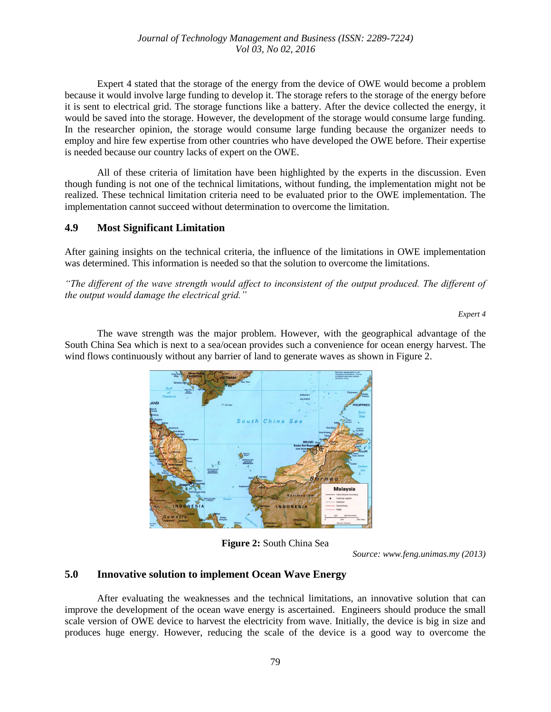Expert 4 stated that the storage of the energy from the device of OWE would become a problem because it would involve large funding to develop it. The storage refers to the storage of the energy before it is sent to electrical grid. The storage functions like a battery. After the device collected the energy, it would be saved into the storage. However, the development of the storage would consume large funding. In the researcher opinion, the storage would consume large funding because the organizer needs to employ and hire few expertise from other countries who have developed the OWE before. Their expertise is needed because our country lacks of expert on the OWE.

All of these criteria of limitation have been highlighted by the experts in the discussion. Even though funding is not one of the technical limitations, without funding, the implementation might not be realized. These technical limitation criteria need to be evaluated prior to the OWE implementation. The implementation cannot succeed without determination to overcome the limitation.

## **4.9 Most Significant Limitation**

After gaining insights on the technical criteria, the influence of the limitations in OWE implementation was determined. This information is needed so that the solution to overcome the limitations.

*"The different of the wave strength would affect to inconsistent of the output produced. The different of the output would damage the electrical grid."*

*Expert 4*

The wave strength was the major problem. However, with the geographical advantage of the South China Sea which is next to a sea/ocean provides such a convenience for ocean energy harvest. The wind flows continuously without any barrier of land to generate waves as shown in Figure 2.



**Figure 2:** South China Sea

*Source: www.feng.unimas.my (2013)*

## **5.0 Innovative solution to implement Ocean Wave Energy**

After evaluating the weaknesses and the technical limitations, an innovative solution that can improve the development of the ocean wave energy is ascertained. Engineers should produce the small scale version of OWE device to harvest the electricity from wave. Initially, the device is big in size and produces huge energy. However, reducing the scale of the device is a good way to overcome the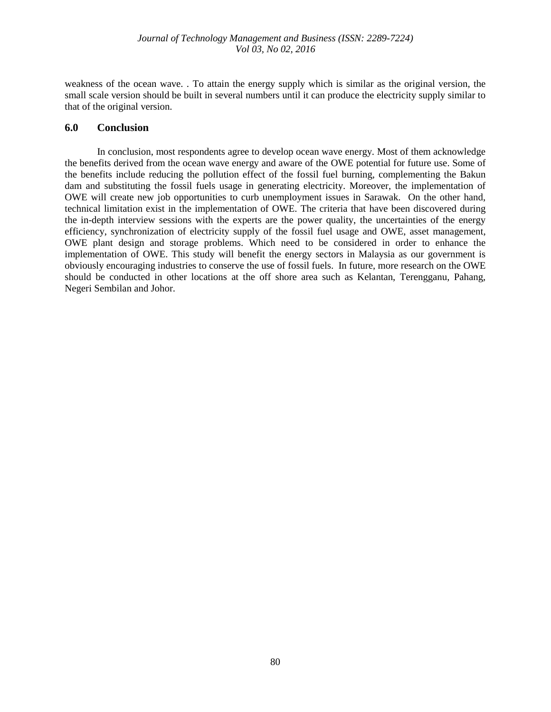weakness of the ocean wave. . To attain the energy supply which is similar as the original version, the small scale version should be built in several numbers until it can produce the electricity supply similar to that of the original version.

#### **6.0 Conclusion**

In conclusion, most respondents agree to develop ocean wave energy. Most of them acknowledge the benefits derived from the ocean wave energy and aware of the OWE potential for future use. Some of the benefits include reducing the pollution effect of the fossil fuel burning, complementing the Bakun dam and substituting the fossil fuels usage in generating electricity. Moreover, the implementation of OWE will create new job opportunities to curb unemployment issues in Sarawak. On the other hand, technical limitation exist in the implementation of OWE. The criteria that have been discovered during the in-depth interview sessions with the experts are the power quality, the uncertainties of the energy efficiency, synchronization of electricity supply of the fossil fuel usage and OWE, asset management, OWE plant design and storage problems. Which need to be considered in order to enhance the implementation of OWE. This study will benefit the energy sectors in Malaysia as our government is obviously encouraging industries to conserve the use of fossil fuels. In future, more research on the OWE should be conducted in other locations at the off shore area such as Kelantan, Terengganu, Pahang, Negeri Sembilan and Johor.